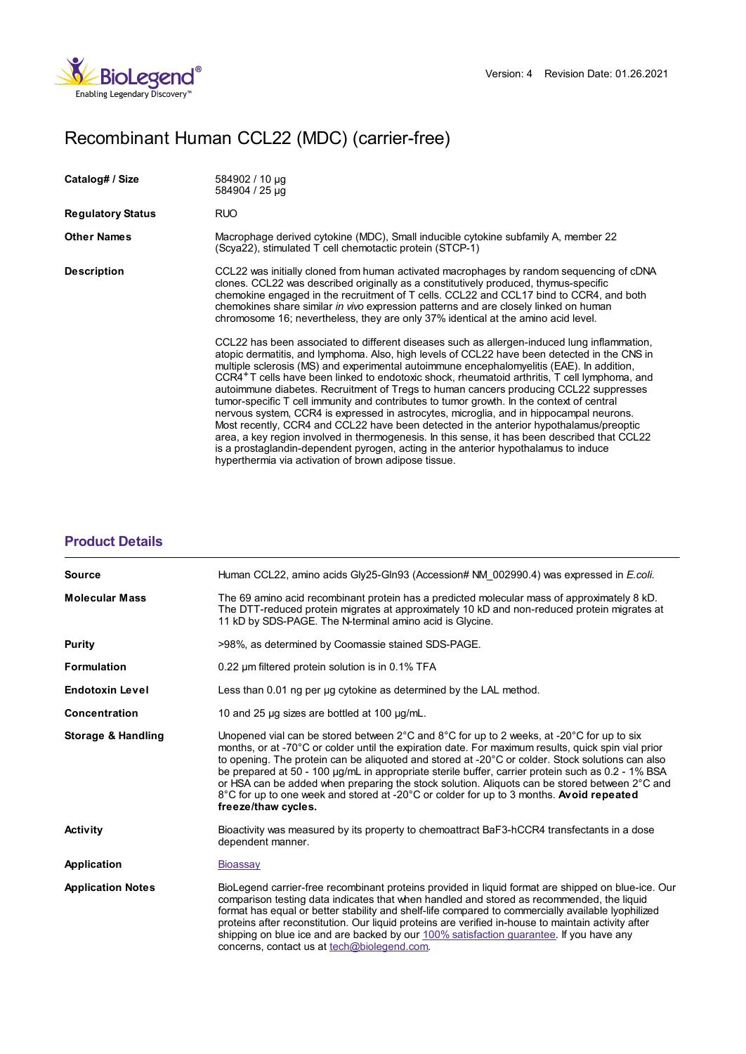

## Recombinant Human CCL22 (MDC) (carrier-free)

| Catalog# / Size          | 584902 / 10 µg<br>584904 / 25 µg                                                                                                                                                                                                                                                                                                                                                                                                                                                                                                                                                                                                                                                                                                                                                                                                                                                                                                                                                                                                 |
|--------------------------|----------------------------------------------------------------------------------------------------------------------------------------------------------------------------------------------------------------------------------------------------------------------------------------------------------------------------------------------------------------------------------------------------------------------------------------------------------------------------------------------------------------------------------------------------------------------------------------------------------------------------------------------------------------------------------------------------------------------------------------------------------------------------------------------------------------------------------------------------------------------------------------------------------------------------------------------------------------------------------------------------------------------------------|
| <b>Regulatory Status</b> | RUO                                                                                                                                                                                                                                                                                                                                                                                                                                                                                                                                                                                                                                                                                                                                                                                                                                                                                                                                                                                                                              |
| <b>Other Names</b>       | Macrophage derived cytokine (MDC), Small inducible cytokine subfamily A, member 22<br>(Scya22), stimulated T cell chemotactic protein (STCP-1)                                                                                                                                                                                                                                                                                                                                                                                                                                                                                                                                                                                                                                                                                                                                                                                                                                                                                   |
| <b>Description</b>       | CCL22 was initially cloned from human activated macrophages by random sequencing of cDNA<br>clones. CCL22 was described originally as a constitutively produced, thymus-specific<br>chemokine engaged in the recruitment of T cells. CCL22 and CCL17 bind to CCR4, and both<br>chemokines share similar in vivo expression patterns and are closely linked on human<br>chromosome 16; nevertheless, they are only 37% identical at the amino acid level.                                                                                                                                                                                                                                                                                                                                                                                                                                                                                                                                                                         |
|                          | CCL22 has been associated to different diseases such as allergen-induced lung inflammation,<br>atopic dermatitis, and lymphoma. Also, high levels of CCL22 have been detected in the CNS in<br>multiple sclerosis (MS) and experimental autoimmune encephalomyelitis (EAE). In addition,<br>CCR4 <sup>+</sup> T cells have been linked to endotoxic shock, rheumatoid arthritis, T cell lymphoma, and<br>autoimmune diabetes. Recruitment of Tregs to human cancers producing CCL22 suppresses<br>tumor-specific T cell immunity and contributes to tumor growth. In the context of central<br>nervous system, CCR4 is expressed in astrocytes, microglia, and in hippocampal neurons.<br>Most recently, CCR4 and CCL22 have been detected in the anterior hypothalamus/preoptic<br>area, a key region involved in thermogenesis. In this sense, it has been described that CCL22<br>is a prostaglandin-dependent pyrogen, acting in the anterior hypothalamus to induce<br>hyperthermia via activation of brown adipose tissue. |

## **[Product](https://production-dynamicweb.biolegend.com/de-at/products/recombinant-human-ccl22-mdc-carrier-free-8249?pdf=true&displayInline=true&leftRightMargin=15&topBottomMargin=15&filename=Recombinant Human CCL22 (MDC) (carrier-free).pdf#productDetails) Details**

| <b>Source</b>            | Human CCL22, amino acids Gly25-Gln93 (Accession# NM 002990.4) was expressed in E.coli.                                                                                                                                                                                                                                                                                                                                                                                                                                                                                                                                                                      |
|--------------------------|-------------------------------------------------------------------------------------------------------------------------------------------------------------------------------------------------------------------------------------------------------------------------------------------------------------------------------------------------------------------------------------------------------------------------------------------------------------------------------------------------------------------------------------------------------------------------------------------------------------------------------------------------------------|
| <b>Molecular Mass</b>    | The 69 amino acid recombinant protein has a predicted molecular mass of approximately 8 kD.<br>The DTT-reduced protein migrates at approximately 10 kD and non-reduced protein migrates at<br>11 kD by SDS-PAGE. The N-terminal amino acid is Glycine.                                                                                                                                                                                                                                                                                                                                                                                                      |
| Purity                   | >98%, as determined by Coomassie stained SDS-PAGE.                                                                                                                                                                                                                                                                                                                                                                                                                                                                                                                                                                                                          |
| <b>Formulation</b>       | 0.22 um filtered protein solution is in 0.1% TFA                                                                                                                                                                                                                                                                                                                                                                                                                                                                                                                                                                                                            |
| <b>Endotoxin Level</b>   | Less than 0.01 ng per ug cytokine as determined by the LAL method.                                                                                                                                                                                                                                                                                                                                                                                                                                                                                                                                                                                          |
| <b>Concentration</b>     | 10 and 25 µg sizes are bottled at 100 µg/mL.                                                                                                                                                                                                                                                                                                                                                                                                                                                                                                                                                                                                                |
| Storage & Handling       | Unopened vial can be stored between $2^{\circ}$ C and $8^{\circ}$ C for up to 2 weeks, at -20 $^{\circ}$ C for up to six<br>months, or at -70°C or colder until the expiration date. For maximum results, quick spin vial prior<br>to opening. The protein can be aliquoted and stored at -20°C or colder. Stock solutions can also<br>be prepared at 50 - 100 µg/mL in appropriate sterile buffer, carrier protein such as 0.2 - 1% BSA<br>or HSA can be added when preparing the stock solution. Aliquots can be stored between 2°C and<br>8°C for up to one week and stored at -20°C or colder for up to 3 months. Avoid repeated<br>freeze/thaw cycles. |
| <b>Activity</b>          | Bioactivity was measured by its property to chemoattract BaF3-hCCR4 transfectants in a dose<br>dependent manner.                                                                                                                                                                                                                                                                                                                                                                                                                                                                                                                                            |
| Application              | <b>Bioassay</b>                                                                                                                                                                                                                                                                                                                                                                                                                                                                                                                                                                                                                                             |
| <b>Application Notes</b> | BioLegend carrier-free recombinant proteins provided in liquid format are shipped on blue-ice. Our<br>comparison testing data indicates that when handled and stored as recommended, the liquid<br>format has equal or better stability and shelf-life compared to commercially available lyophilized<br>proteins after reconstitution. Our liquid proteins are verified in-house to maintain activity after<br>shipping on blue ice and are backed by our 100% satisfaction quarantee. If you have any<br>concerns, contact us at tech@biolegend.com.                                                                                                      |